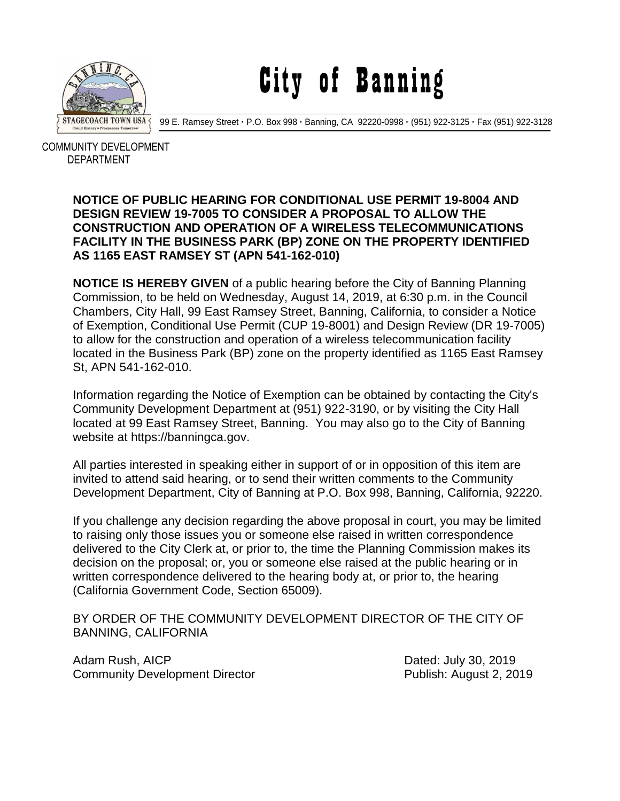

City of Banning

99 E. Ramsey Street **·** P.O. Box 998 **·** Banning, CA 92220-0998 **·** (951) 922-3125 **·** Fax (951) 922-3128

 COMMUNITY DEVELOPMENT DEPARTMENT

## **NOTICE OF PUBLIC HEARING FOR CONDITIONAL USE PERMIT 19-8004 AND DESIGN REVIEW 19-7005 TO CONSIDER A PROPOSAL TO ALLOW THE CONSTRUCTION AND OPERATION OF A WIRELESS TELECOMMUNICATIONS FACILITY IN THE BUSINESS PARK (BP) ZONE ON THE PROPERTY IDENTIFIED AS 1165 EAST RAMSEY ST (APN 541-162-010)**

**NOTICE IS HEREBY GIVEN** of a public hearing before the City of Banning Planning Commission, to be held on Wednesday, August 14, 2019, at 6:30 p.m. in the Council Chambers, City Hall, 99 East Ramsey Street, Banning, California, to consider a Notice of Exemption, Conditional Use Permit (CUP 19-8001) and Design Review (DR 19-7005) to allow for the construction and operation of a wireless telecommunication facility located in the Business Park (BP) zone on the property identified as 1165 East Ramsey St, APN 541-162-010.

Information regarding the Notice of Exemption can be obtained by contacting the City's Community Development Department at (951) 922-3190, or by visiting the City Hall located at 99 East Ramsey Street, Banning. You may also go to the City of Banning website at https://banningca.gov.

All parties interested in speaking either in support of or in opposition of this item are invited to attend said hearing, or to send their written comments to the Community Development Department, City of Banning at P.O. Box 998, Banning, California, 92220.

If you challenge any decision regarding the above proposal in court, you may be limited to raising only those issues you or someone else raised in written correspondence delivered to the City Clerk at, or prior to, the time the Planning Commission makes its decision on the proposal; or, you or someone else raised at the public hearing or in written correspondence delivered to the hearing body at, or prior to, the hearing (California Government Code, Section 65009).

BY ORDER OF THE COMMUNITY DEVELOPMENT DIRECTOR OF THE CITY OF BANNING, CALIFORNIA

Adam Rush, AICP **Dated: July 30, 2019** Community Development Director **Publish: August 2, 2019**